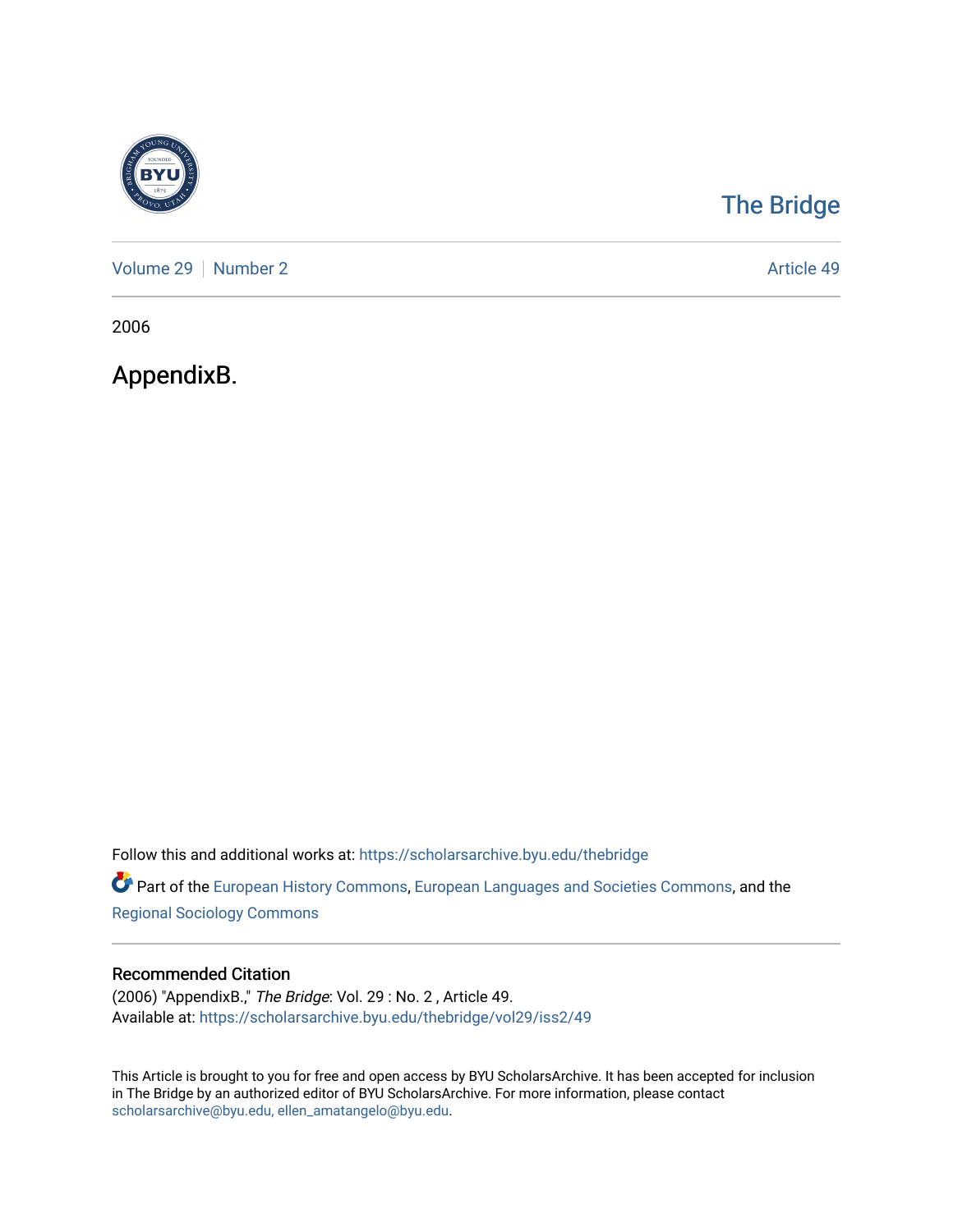

# [The Bridge](https://scholarsarchive.byu.edu/thebridge)

[Volume 29](https://scholarsarchive.byu.edu/thebridge/vol29) | [Number 2](https://scholarsarchive.byu.edu/thebridge/vol29/iss2) Article 49

2006

AppendixB.

Follow this and additional works at: [https://scholarsarchive.byu.edu/thebridge](https://scholarsarchive.byu.edu/thebridge?utm_source=scholarsarchive.byu.edu%2Fthebridge%2Fvol29%2Fiss2%2F49&utm_medium=PDF&utm_campaign=PDFCoverPages) 

**Part of the [European History Commons](http://network.bepress.com/hgg/discipline/492?utm_source=scholarsarchive.byu.edu%2Fthebridge%2Fvol29%2Fiss2%2F49&utm_medium=PDF&utm_campaign=PDFCoverPages), [European Languages and Societies Commons,](http://network.bepress.com/hgg/discipline/482?utm_source=scholarsarchive.byu.edu%2Fthebridge%2Fvol29%2Fiss2%2F49&utm_medium=PDF&utm_campaign=PDFCoverPages) and the** [Regional Sociology Commons](http://network.bepress.com/hgg/discipline/427?utm_source=scholarsarchive.byu.edu%2Fthebridge%2Fvol29%2Fiss2%2F49&utm_medium=PDF&utm_campaign=PDFCoverPages) 

## Recommended Citation

(2006) "AppendixB.," The Bridge: Vol. 29 : No. 2 , Article 49. Available at: [https://scholarsarchive.byu.edu/thebridge/vol29/iss2/49](https://scholarsarchive.byu.edu/thebridge/vol29/iss2/49?utm_source=scholarsarchive.byu.edu%2Fthebridge%2Fvol29%2Fiss2%2F49&utm_medium=PDF&utm_campaign=PDFCoverPages)

This Article is brought to you for free and open access by BYU ScholarsArchive. It has been accepted for inclusion in The Bridge by an authorized editor of BYU ScholarsArchive. For more information, please contact [scholarsarchive@byu.edu, ellen\\_amatangelo@byu.edu](mailto:scholarsarchive@byu.edu,%20ellen_amatangelo@byu.edu).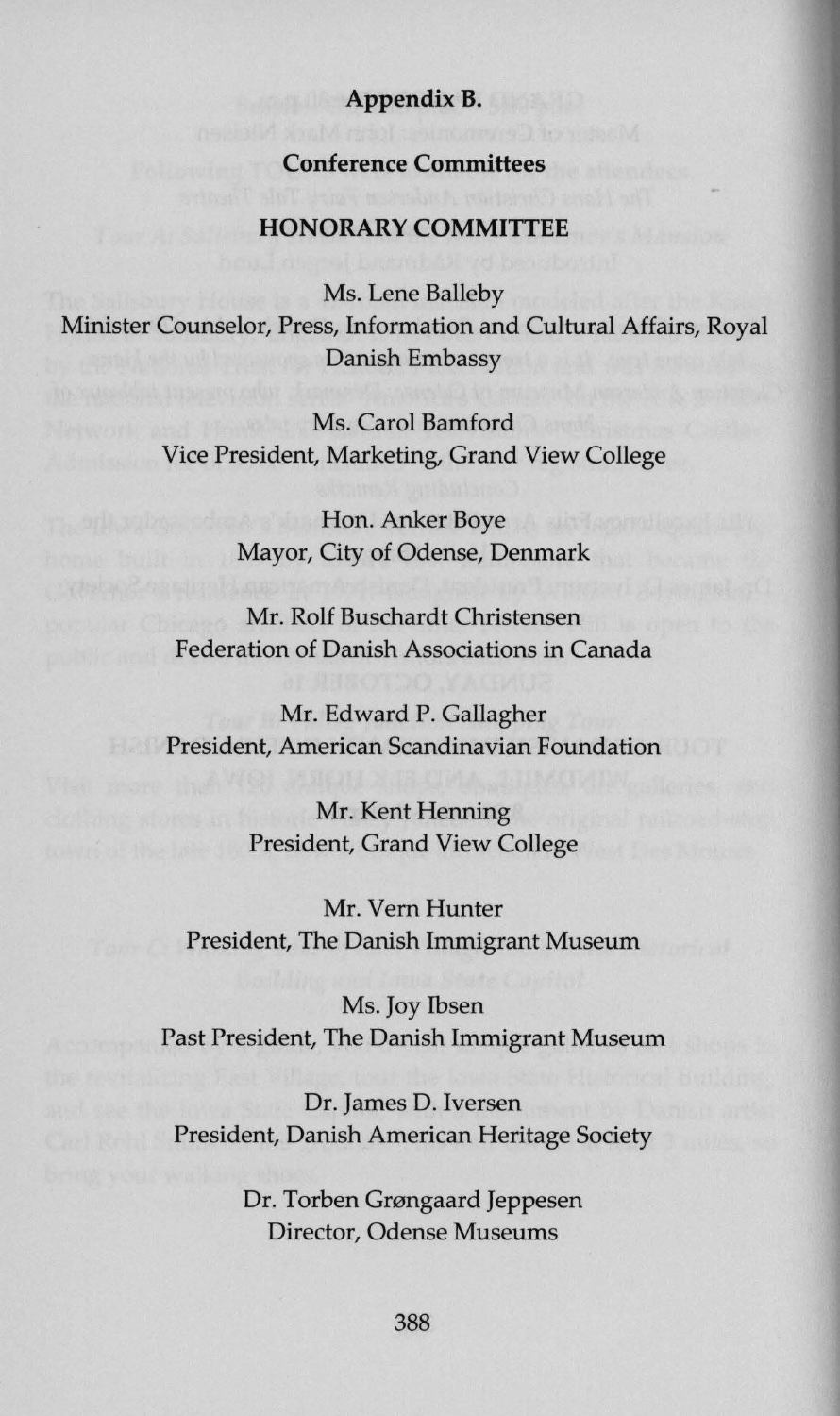## **AppendixB.**

## **Conference Committees**

## **HONORARY COMMITTEE**

Ms. Lene Balleby Minister Counselor, Press, Information and Cultural Affairs, Royal **Danish Embassy** 

> Ms. Carol Bamford Vice President, Marketing, Grand View College

> > **Hon. Anker Boye** Mayor, City of Odense, Denmark

Mr. Rolf Buschardt Christensen Federation of Danish Associations in Canada

Mr. Edward P. Gallagher **President, American Scandinavian Foundation** 

> Mr. Kent Henning President, Grand View College

Mr. Vern Hunter President, The Danish Immigrant Museum

Ms. Joy Ibsen Past President, The Danish Immigrant Museum

Dr. James D. Iversen President, Danish American Heritage Society

> Dr. Torben Grøngaard Jeppesen Director, Odense Museums

> > 388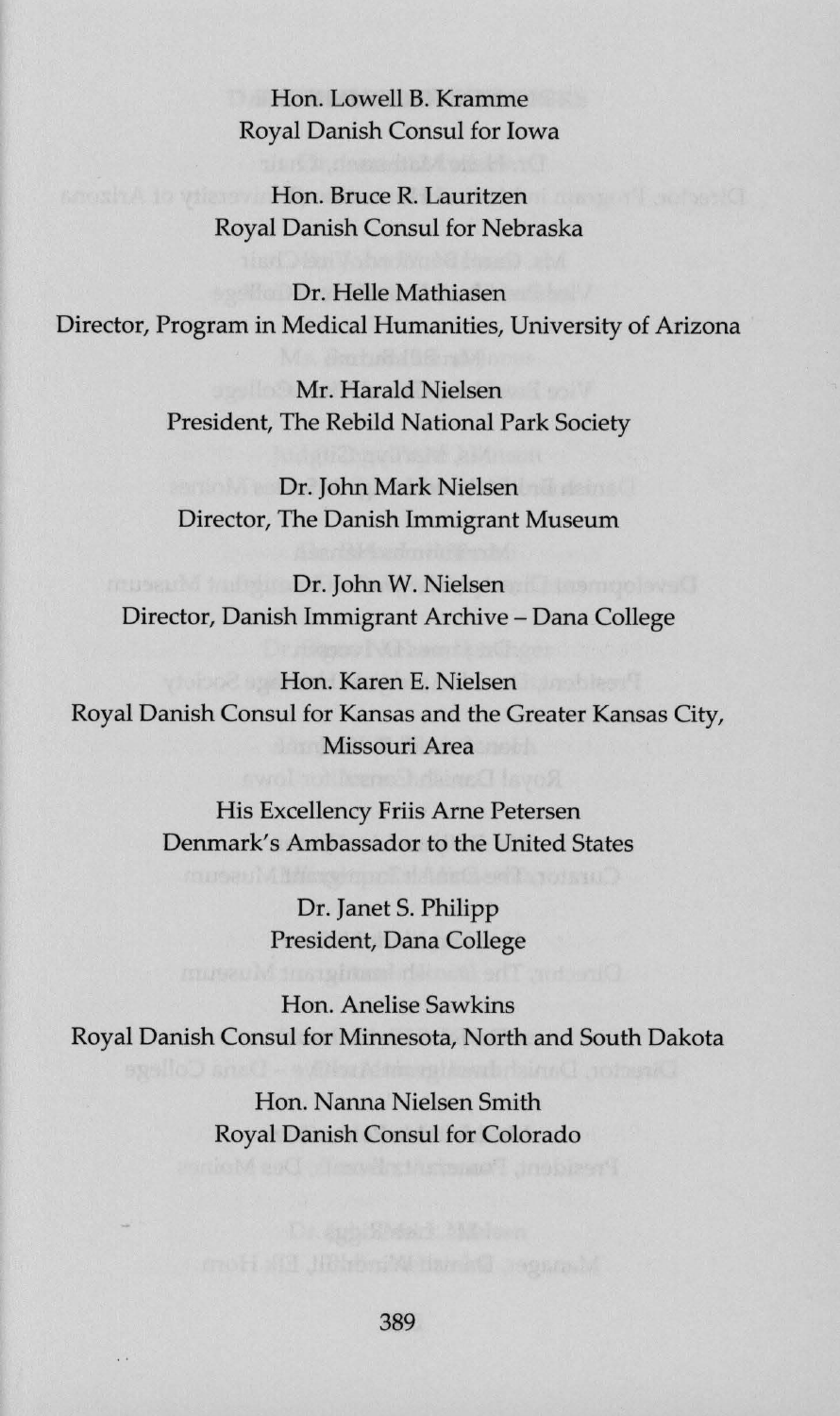Hon. Lowell B. Kramme Royal Danish Consul for Iowa

**Hon. Bruce R. Lauritzen** Royal Danish Consul for Nebraska

Dr. Helle Mathiasen Director, Program in Medical Humanities, University of Arizona

> Mr. Harald Nielsen President, The Rebild National Park Society

Dr. John Mark Nielsen Director, The Danish Immigrant Museum

Dr. John W. Nielsen Director, Danish Immigrant Archive - Dana College

Hon. Karen E. Nielsen Royal Danish Consul for Kansas and the Greater Kansas City, Missouri Area

> His Excellency Friis Arne Petersen Denmark's Ambassador to the United States

> > Dr. Janet S. Philipp President, Dana College

Hon. Anelise Sawkins Royal Danish Consul for Minnesota, North and South Dakota

> Hon. Nanna Nielsen Smith Royal Danish Consul for Colorado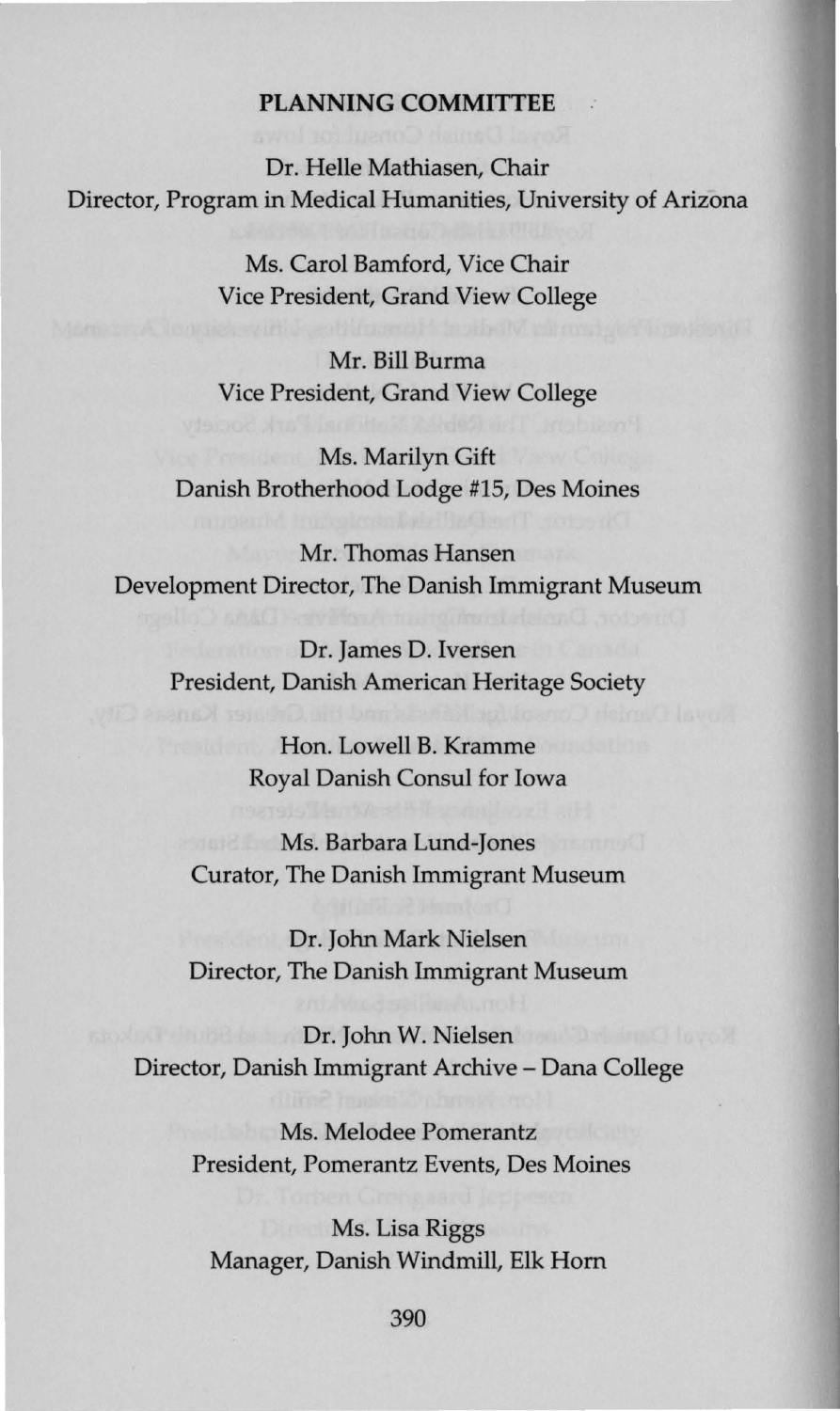## **PLANNING COMMITTEE**

Dr. Helle Mathiasen, Chair Director, Program in Medical Humanities, University of Arizona

> Ms. Carol Bamford, Vice Chair Vice President, Grand View College

> Mr. Bill Burma Vice President, Grand View College

Ms. Marilyn Gift Danish Brotherhood Lodge #15, Des Moines

**Mr.** Thomas Hansen Development Director, The Danish Immigrant Museum

Dr. James D. Iversen President, Danish American Heritage Society

> Hon. Lowell B. Kramme Royal Danish Consul for Iowa

Ms. Barbara Lund-Jones Curator, The Danish Immigrant Museum

Dr. John Mark Nielsen Director, The Danish Immigrant Museum

Dr. John W. Nielsen Director, Danish Immigrant Archive - Dana College

> Ms. Melodee Pomerantz President, Pomerantz Events, Des Moines

Ms. Lisa Riggs Manager, Danish Windmill, Elk Hom

390